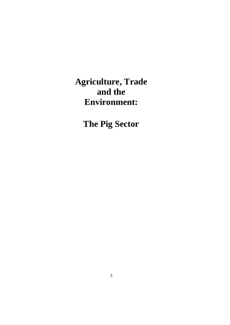**Agriculture, Trade and the Environment:** 

**The Pig Sector**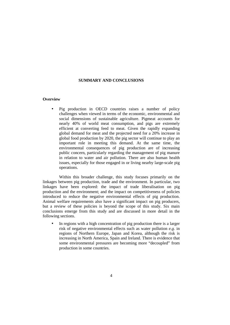# **SUMMARY AND CONCLUSIONS**

## **Overview**

• Pig production in OECD countries raises a number of policy challenges when viewed in terms of the economic, environmental and social dimensions of sustainable agriculture. Pigmeat accounts for nearly 40% of world meat consumption, and pigs are extremely efficient at converting feed to meat. Given the rapidly expanding global demand for meat and the projected need for a 20% increase in global food production by 2020, the pig sector will continue to play an important role in meeting this demand. At the same time, the environmental consequences of pig production are of increasing public concern, particularly regarding the management of pig manure in relation to water and air pollution. There are also human health issues, especially for those engaged in or living nearby large-scale pig operations.

 Within this broader challenge, this study focuses primarily on the linkages between pig production, trade and the environment. In particular, two linkages have been explored: the impact of trade liberalisation on pig production and the environment; and the impact on competitiveness of policies introduced to reduce the negative environmental effects of pig production. Animal welfare requirements also have a significant impact on pig producers, but a review of these policies is beyond the scope of this study. Six main conclusions emerge from this study and are discussed in more detail in the following sections.

In regions with a high concentration of pig production there is a larger risk of negative environmental effects such as water pollution *e.g.* in regions of Northern Europe, Japan and Korea, although the risk is increasing in North America, Spain and Ireland. There is evidence that some environmental pressures are becoming more "decoupled" from production in some countries.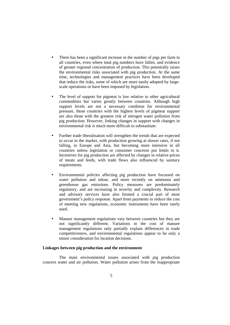- There has been a significant increase in the number of pigs per farm in all countries, even where total pig numbers have fallen, and evidence of greater regional concentration of production. This potentially raises the environmental risks associated with pig production. At the same time, technologies and management practices have been developed that reduce the risks, some of which are more easily adopted by largescale operations or have been imposed by legislation.
- The level of support for pigmeat is low relative to other agricultural commodities but varies greatly between countries. Although high support levels are not a necessary condition for environmental pressure, those countries with the highest levels of pigmeat support are also those with the greatest risk of nitrogen water pollution from pig production. However, linking changes in support with changes in environmental risk is much more difficult to substantiate.
- Further trade liberalisation will strengthen the trends that are expected to occur in the market, with production growing at slower rates, if not falling, in Europe and Asia, but becoming more intensive in all countries unless legislation or consumer concerns put limits to it. Incentives for pig production are affected by changes in relative prices of meats and feeds, with trade flows also influenced by sanitary requirements.
- Environmental policies affecting pig production have focussed on water pollution and odour, and more recently on ammonia and greenhouse gas emissions. Policy measures are predominately regulatory, and are increasing in severity and complexity. Research and advisory services have also formed a crucial part of most government's policy response. Apart from payments to reduce the cost of meeting new regulations, economic instruments have been rarely used.
- Manure management regulations vary between countries but they are not significantly different. Variations in the cost of manure management regulations only partially explain differences in trade competitiveness, and environmental regulations appear to be only a minor consideration for location decisions.

### **Linkages between pig production and the environment**

 The main environmental issues associated with pig production concern water and air pollution. Water pollution arises from the inappropriate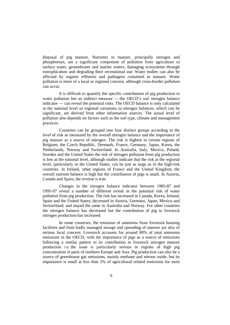disposal of pig manure. Nutrients in manure, principally nitrogen and phosphorous, are a significant component of pollution from agriculture to surface water, groundwater and marine waters, damaging ecosystems through eutrophication and degrading their recreational use. Water bodies can also be affected by organic effluents and pathogens contained in manure. Water pollution is more of a local or regional concern, although cross-border pollution can occur.

 It is difficult to quantify the specific contribution of pig production to water pollution but an indirect measure — the OECD's soil nitrogen balance indicator — can reveal the potential risks. The OECD balance is only calculated at the national level so regional variations in nitrogen balances, which can be significant, are derived from other information sources. The actual level of pollution also depends on factors such as the soil type, climate and management practices.

 Countries can be grouped into four distinct groups according to the *level* of risk as measured by the overall nitrogen balance and the importance of pig manure as a source of nitrogen. The risk is highest in certain regions of Belgium, the Czech Republic, Denmark, France, Germany, Japan, Korea, the Netherlands, Norway and Switzerland. In Australia, Italy, Mexico, Poland, Sweden and the United States the risk of nitrogen pollution from pig production is low at the national level, although studies indicate that the risk at the regional level, particularly in the United States, can be just as large as in the high-risk countries. In Ireland, other regions of France and the United Kingdom, the overall nutrient balance is high but the contribution of pigs is small. In Austria, Canada and Spain, the reverse is true.

 Changes in the nitrogen balance indicator between 1985-87 and 1995-97 reveal a number of different *trends* in the potential risk of water pollution from pig production. The risk has increased in Canada, Korea, Ireland, Spain and the United States; decreased in Austria, Germany, Japan, Mexico and Switzerland; and stayed the same in Australia and Norway. For other countries the nitrogen balance has decreased but the contribution of pig to livestock nitrogen production has increased.

 In some countries, the emission of ammonia from livestock housing facilities and from badly managed storage and spreading of manure are also of serious local concern. Livestock accounts for around 80% of total ammonia emissions in the OECD, with the importance of pigs as a source of emissions following a similar pattern to its contribution to livestock nitrogen manure production *i.e.* the issue is particularly serious in regions of high pig concentration in parts of northern Europe and Asia. Pig production can also be a source of greenhouse gas emissions, mainly methane and nitrous oxide, but its importance is small at less than 5% of agricultural related emissions for most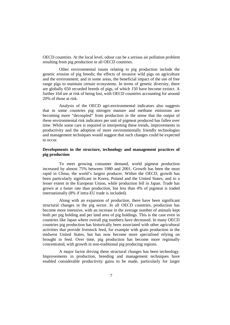OECD countries. At the local level, odour can be a serious air pollution problem resulting from pig production in all OECD countries.

 Other environmental issues relating to pig production include the genetic erosion of pig breeds; the effects of invasive wild pigs on agriculture and the environment; and in some areas, the beneficial impact of the use of free range pigs to maintain certain ecosystems. In terms of genetic diversity, there are globally 650 recorded breeds of pigs, of which 150 have become extinct. A further 164 are at risk of being lost, with OECD countries accounting for around 20% of those at risk.

 Analysis of the OECD agri-environmental indicators also suggests that in some countries pig nitrogen manure and methane emissions are becoming more "decoupled" from production in the sense that the output of these environmental risk indicators per unit of pigmeat produced has fallen over time. While some care is required in interpreting these trends, improvements in productivity and the adoption of more environmentally friendly technologies and management techniques would suggest that such changes could be expected to occur.

# **Developments in the structure, technology and management practices of pig production**

 To meet growing consumer demand, world pigmeat production increased by almost 75% between 1980 and 2001. Growth has been the most rapid in China, the world's largest producer. Within the OECD, growth has been particularly significant in Korea, Poland and the United States, and to a lesser extent in the European Union, while production fell in Japan. Trade has grown at a faster rate than production, but less than 4% of pigmeat is traded internationally (8% if intra-EU trade is included).

 Along with an expansion of production, there have been significant structural changes in the pig sector. In all OECD countries, production has become more intensive, with an increase in the average number of animals kept both per pig holding and per land area of pig holdings. This is the case even in countries like Japan where overall pig numbers have decreased. In many OECD countries pig production has historically been associated with other agricultural activities that provide livestock feed, for example with grain production in the midwest United States, but has now become more specialised relying on brought in feed. Over time, pig production has become more regionally concentrated, with growth in non-traditional pig producing regions.

 A major factor driving these structural changes has been technology. Improvements in production, breeding and management techniques have enabled considerable productivity gains to be made, particularly for larger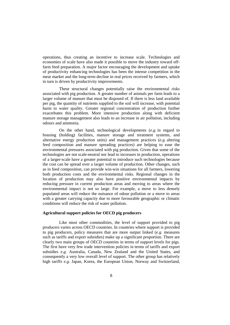operations, thus creating an incentive to increase scale. Technologies and economies of scale have also made it possible to move the industry toward offfarm feed preparation. A major factor encouraging the development and uptake of productivity enhancing technologies has been the intense competition in the meat market and the long-term decline in real prices received by farmers, which in turn is driven by productivity improvements.

 These structural changes potentially raise the environmental risks associated with pig production. A greater number of animals per farm leads to a larger volume of manure that must be disposed of. If there is less land available per pig, the quantity of nutrients supplied to the soil will increase, with potential harm to water quality. Greater regional concentration of production further exacerbates this problem. More intensive production along with deficient manure storage management also leads to an increase in air pollution, including odours and ammonia.

 On the other hand, technological developments (*e.g.* in regard to housing (holding) facilities, manure storage and treatment systems, and alternative energy production units) and management practices (*e.g.* altering feed composition and manure spreading practices) are helping to ease the environmental pressures associated with pig production. Given that some of the technologies are not scale-neutral nor lead to increases in production, operations of a larger-scale have a greater potential to introduce such technologies because the cost can be spread over a larger volume of production. Other changes, such as in feed composition, can provide win-win situations for all farmers, lowering both production costs and the environmental risks. Regional changes in the location of production may also have positive environmental impacts by reducing pressure in current production areas and moving to areas where the environmental impact is not so large. For example, a move to less densely populated areas will reduce the nuisance of odour pollution or a move to areas with a greater carrying capacity due to more favourable geographic or climatic conditions will reduce the risk of water pollution.

## **Agricultural support policies for OECD pig producers**

 Like most other commodities, the level of support provided to pig producers varies across OECD countries. In countries where support is provided to pig producers, policy measures that are more output linked (*e.g.* measures such as tariffs and export subsidies) make up a significant proportion. There are clearly two main groups of OECD countries in terms of support levels for pigs. The first have very few trade intervention policies in terms of tariffs and export subsidies *e.g.* Australia, Canada, New Zealand and the United States, and consequently a very low overall level of support. The other group has relatively high tariffs *e.g.* Japan, Korea, the European Union, Norway and Switzerland,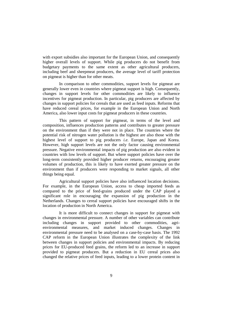with export subsidies also important for the European Union, and consequently higher overall levels of support. While pig producers do not benefit from budgetary payments to the same extent as other agricultural producers, including beef and sheepmeat producers, the average level of tariff protection on pigmeat is higher than for other meats.

 In comparison to other commodities, support levels for pigmeat are generally lower even in countries where pigmeat support is high. Consequently, changes in support levels for other commodities are likely to influence incentives for pigmeat production. In particular, pig producers are affected by changes in support policies for cereals that are used as feed inputs. Reforms that have reduced cereal prices, for example in the European Union and North America, also lower input costs for pigmeat producers in these countries.

 This pattern of support for pigmeat, in terms of the level and composition, influences production patterns and contributes to greater pressure on the environment than if they were not in place. The countries where the potential risk of nitrogen water pollution is the highest are also those with the highest level of support to pig producers *i.e.* Europe, Japan and Korea. However, high support levels are not the only factor causing environmental pressure. Negative environmental impacts of pig production are also evident in countries with low levels of support. But where support policies have over the long-term consistently provided higher producer returns, encouraging greater volumes of production, this is likely to have exerted greater pressure on the environment than if producers were responding to market signals, all other things being equal.

 Agricultural support policies have also influenced location decisions. For example, in the European Union, access to cheap imported feeds as compared to the price of feed-grains produced under the CAP played a significant role in encouraging the expansion of pig production in the Netherlands. Changes to cereal support policies have encouraged shifts in the location of production in North America.

 It is more difficult to connect changes in support for pigmeat with changes in environmental pressure. A number of other variables can contribute including changes in support provided to other commodities, agrienvironmental measures, and market induced changes. Changes in environmental pressure need to be analysed on a case-by-case basis. The 1992 CAP reform in the European Union illustrates the complexity of the link between changes in support policies and environmental impacts. By reducing prices for EU-produced feed grains, the reform led to an increase in support provided to pigmeat producers. But a reduction in EU cereal prices also changed the relative prices of feed inputs, leading to a lower protein content in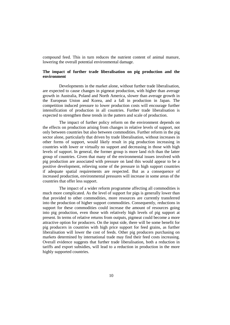compound feed. This in turn reduces the nutrient content of animal manure, lowering the overall potential environmental damage.

# **The impact of further trade liberalisation on pig production and the environment**

 Developments in the market alone, without further trade liberalisation, are expected to cause changes in pigmeat production, with higher than average growth in Australia, Poland and North America, slower than average growth in the European Union and Korea, and a fall in production in Japan. The competition induced pressure to lower production costs will encourage further intensification of production in all countries. Further trade liberalisation is expected to strengthen these trends in the pattern and scale of production.

 The impact of further policy reform on the environment depends on the effects on production arising from changes in relative levels of support, not only between countries but also between commodities. Further reform in the pig sector alone, particularly that driven by trade liberalisation, without increases in other forms of support, would likely result in pig production increasing in countries with lower or virtually no support and decreasing in those with high levels of support. In general, the former group is more land rich than the latter group of countries. Given that many of the environmental issues involved with pig production are associated with pressure on land this would appear to be a positive development, relieving some of the pressure in high support countries if adequate spatial requirements are respected. But as a consequence of increased production, environmental pressures will increase in some areas of the countries that offer less support.

 The impact of a wider reform programme affecting all commodities is much more complicated. As the level of support for pigs is generally lower than that provided to other commodities, more resources are currently transferred into the production of higher support commodities. Consequently, reductions in support for these commodities could increase the amount of resources going into pig production, even those with relatively high levels of pig support at present. In terms of relative returns from outputs, pigmeat could become a more attractive option for producers. On the input side, there will be some benefit for pig producers in countries with high price support for feed grains, as further liberalisation will lower the cost of feeds. Other pig producers purchasing on markets determined by international trade may find their feed costs increasing. Overall evidence suggests that further trade liberalisation, both a reduction in tariffs and export subsidies, will lead to a reduction in production in the more highly supported countries.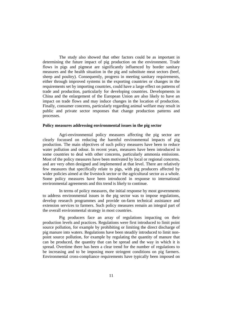The study also showed that other factors could be as important in determining the future impact of pig production on the environment. Trade flows in pigs and pigmeat are significantly influenced by border sanitary measures and the health situation in the pig and substitute meat sectors (beef, sheep and poultry). Consequently, progress in meeting sanitary requirements, either through improved systems in the exporting countries or changes in the requirements set by importing countries, could have a large effect on patterns of trade and production, particularly for developing countries. Developments in China and the enlargement of the European Union are also likely to have an impact on trade flows and may induce changes in the location of production. Finally, consumer concerns, particularly regarding animal welfare may result in public and private sector responses that change production patterns and processes.

# **Policy measures addressing environmental issues in the pig sector**

 Agri-environmental policy measures affecting the pig sector are clearly focussed on reducing the harmful environmental impacts of pig production. The main objectives of such policy measures have been to reduce water pollution and odour. In recent years, measures have been introduced in some countries to deal with other concerns, particularly ammonia emissions. Most of the policy measures have been motivated by local or regional concerns, and are very often designed and implemented at that level. There are relatively few measures that specifically relate to pigs, with pig producers affected by wider policies aimed at the livestock sector or the agricultural sector as a whole. Some policy measures have been introduced in response to international environmental agreements and this trend is likely to continue.

 In terms of policy measures, the initial response by most governments to address environmental issues in the pig sector was to impose regulations, develop research programmes and provide on-farm technical assistance and extension services to farmers. Such policy measures remain an integral part of the overall environmental strategy in most countries.

 Pig producers face an array of regulations impacting on their production levels and practices. Regulations were first introduced to limit point source pollution, for example by prohibiting or limiting the direct discharge of pig manure into waters. Regulations have been steadily introduced to limit nonpoint source pollution, for example by regulating the quantity of manure that can be produced, the quantity that can be spread and the way in which it is spread. Overtime there has been a clear trend for the number of regulations to be increasing and to be imposing more stringent conditions on pig farmers. Environmental cross-compliance requirements have typically been imposed on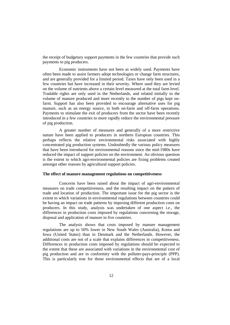the receipt of budgetary support payments in the few countries that provide such payments to pig producers.

 Economic instruments have not been as widely used. Payments have often been made to assist farmers adopt technologies or change farm structures, and are generally provided for a limited period. Taxes have only been used in a few countries but have increased in their severity. Where used they are levied on the volume of nutrients above a certain level measured at the total farm level. Tradable rights are only used in the Netherlands, and related initially to the volume of manure produced and more recently to the number of pigs kept onfarm. Support has also been provided to encourage alternative uses for pig manure, such as an energy source, in both on-farm and off-farm operations. Payments to stimulate the exit of producers from the sector have been recently introduced in a few countries to more rapidly reduce the environmental pressure of pig production.

 A greater number of measures and generally of a more restrictive nature have been applied to producers in northern European countries. This perhaps reflects the relative environmental risks associated with highly concentrated pig production systems. Undoubtedly the various policy measures that have been introduced for environmental reasons since the mid-1980s have reduced the impact of support policies on the environment. An obvious question is the extent to which agri-environmental policies are fixing problems created amongst other reasons by agricultural support policies.

#### **The effect of manure management regulations on competitiveness**

 Concerns have been raised about the impact of agri-environmental measures on trade competitiveness, and the resulting impact on the pattern of trade and location of production. The important issue for the pig sector is the extent to which variations in environmental regulations between countries could be having an impact on trade patterns by imposing different production costs on producers. In this study, analysis was undertaken of one aspect *i.e.*, the differences in production costs imposed by regulations concerning the storage, disposal and application of manure in five countries.

 The analysis shows that costs imposed by manure management regulations are up to 50% lower in New South Wales (Australia), Korea and Iowa (United States) than in Denmark and the Netherlands. However, the additional costs are not of a scale that explains differences in competitiveness. Differences in production costs imposed by regulations should be expected to the extent that these are associated with variations in the environmental cost of pig production and are in conformity with the polluter-pays-principle (PPP). This is particularly true for those environmental effects that are of a local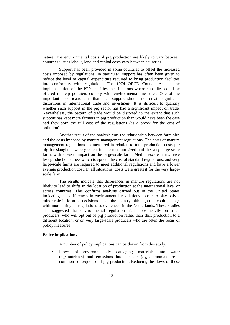nature. The environmental costs of pig production are likely to vary between countries just as labour, land and capital costs vary between countries.

 Support has been provided in some countries to offset the increased costs imposed by regulations. In particular, support has often been given to reduce the level of capital expenditure required to bring production facilities into conformity with regulations. The 1974 OECD Council Act on the implementation of the PPP specifies the situations where subsidies could be offered to help polluters comply with environmental measures. One of the important specifications is that such support should not create significant distortions in international trade and investment. It is difficult to quantify whether such support in the pig sector has had a significant impact on trade. Nevertheless, the pattern of trade would be distorted to the extent that such support has kept more farmers in pig production than would have been the case had they born the full cost of the regulations (as a proxy for the cost of pollution).

 Another result of the analysis was the relationship between farm size and the costs imposed by manure management regulations. The costs of manure management regulations, as measured in relation to total production costs per pig for slaughter, were greatest for the medium-sized and the very large-scale farm, with a lesser impact on the large-scale farm. Medium-scale farms have less production across which to spread the cost of standard regulations, and very large-scale farms are required to meet additional regulations and have a lower average production cost. In all situations, costs were greatest for the very largescale farm.

 The results indicate that differences in manure regulations are not likely to lead to shifts in the location of production at the international level or across countries. This confirms analysis carried out in the United States indicating that differences in environmental regulations appear to play only a minor role in location decisions inside the country, although this could change with more stringent regulations as evidenced in the Netherlands. These studies also suggested that environmental regulations fall more heavily on small producers, who will opt out of pig production rather than shift production to a different location, or on very large-scale producers who are often the focus of policy measures.

### **Policy implications**

A number of policy implications can be drawn from this study.

• Flows of environmentally damaging materials into water (*e.g.* nutrients) and emissions into the air (*e.g.* ammonia) are a common consequence of pig production. Reducing the flows of these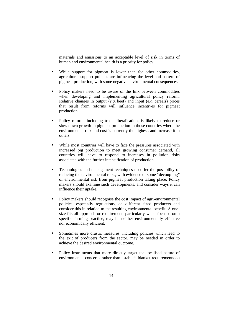materials and emissions to an acceptable level of risk in terms of human and environmental health is a priority for policy.

- While support for pigmeat is lower than for other commodities, agricultural support policies are influencing the level and pattern of pigmeat production, with some negative environmental consequences.
- Policy makers need to be aware of the link between commodities when developing and implementing agricultural policy reform. Relative changes in output (*e.g.* beef) and input (*e.g.* cereals) prices that result from reforms will influence incentives for pigmeat production.
- Policy reform, including trade liberalisation, is likely to reduce or slow down growth in pigmeat production in those countries where the environmental risk and cost is currently the highest, and increase it in others.
- While most countries will have to face the pressures associated with increased pig production to meet growing consumer demand, all countries will have to respond to increases in pollution risks associated with the further intensification of production.
- Technologies and management techniques do offer the possibility of reducing the environmental risks, with evidence of some "decoupling" of environmental risk from pigmeat production taking place. Policy makers should examine such developments, and consider ways it can influence their uptake.
- Policy makers should recognise the cost impact of agri-environmental policies, especially regulations, on different sized producers and consider this in relation to the resulting environmental benefit. A onesize-fits-all approach or requirement, particularly when focused on a specific farming practice, may be neither environmentally effective nor economically efficient.
- Sometimes more drastic measures, including policies which lead to the exit of producers from the sector, may be needed in order to achieve the desired environmental outcome.
- Policy instruments that more directly target the localised nature of environmental concerns rather than establish blanket requirements on